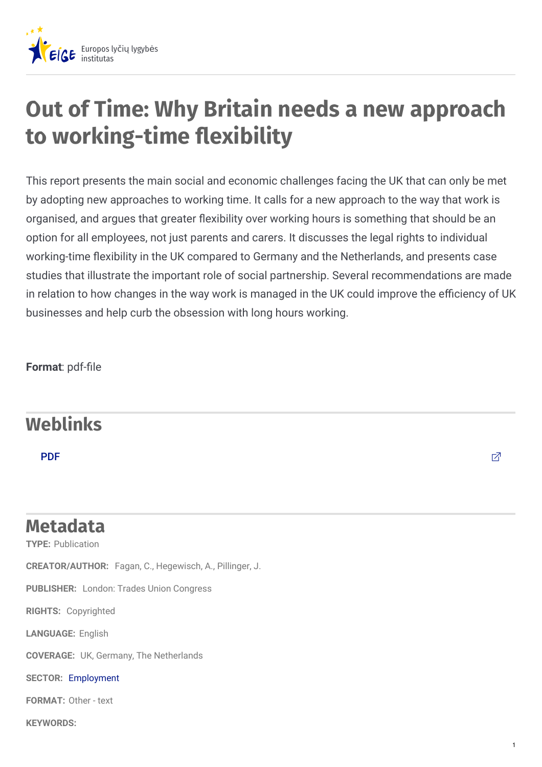

## **Out of Time: Why Britain needs a new approach to** working-time flexibility

This report presents the main social and economic challenges facing the UK that can only be met by adopting new approaches to working time. It calls for a new approach to the way that work is organised, and argues that greater flexibility over working hours is something that should be an option for all employees, not just parents and carers. It discusses the legal rights to individual working-time flexibility in the UK compared to Germany and the Netherlands, and presents case studies that illustrate the important role of social partnership. Several recommendations are made in relation to how changes in the way work is managed in the UK could improve the efficiency of UK businesses and help curb the obsession with long hours working.

**Format: pdf-file** 

## **Weblinks**

[PDF](http://www.tuc.org.uk/sites/default/files/extras/outoftime.pdf) the contract of the contract of the contract of the contract of the contract of  $\mathbb Z$ 

## **TYPE:** Publication **CREATOR/AUTHOR:** Fagan, C., Hegewisch, A., Pillinger, J. **PUBLISHER:** London: Trades Union Congress **RIGHTS:** Copyrighted **LANGUAGE:** English **COVERAGE:** UK, Germany, The Netherlands **SECTOR:** [Employment](https://eige.europa.eu/lt/gender-mainstreaming/policy-areas/employment?lang=nl) **FORMAT:** Other - text **Metadata**

**KEYWORDS:**